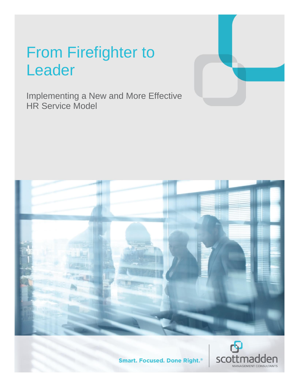# From Firefighter to Leader

Implementing a New and More Effective HR Service Model





**Smart. Focused. Done Right.**®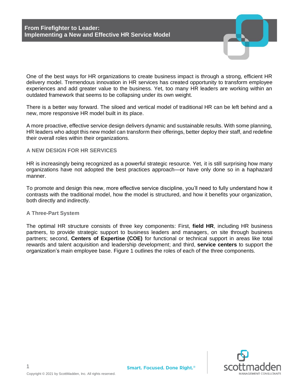One of the best ways for HR organizations to create business impact is through a strong, efficient HR delivery model. Tremendous innovation in HR services has created opportunity to transform employee experiences and add greater value to the business. Yet, too many HR leaders are working within an outdated framework that seems to be collapsing under its own weight.

There is a better way forward. The siloed and vertical model of traditional HR can be left behind and a new, more responsive HR model built in its place.

A more proactive, effective service design delivers dynamic and sustainable results. With some planning, HR leaders who adopt this new model can transform their offerings, better deploy their staff, and redefine their overall roles within their organizations.

## **A NEW DESIGN FOR HR SERVICES**

HR is increasingly being recognized as a powerful strategic resource. Yet, it is still surprising how many organizations have not adopted the best practices approach—or have only done so in a haphazard manner.

To promote and design this new, more effective service discipline, you'll need to fully understand how it contrasts with the traditional model, how the model is structured, and how it benefits your organization, both directly and indirectly.

#### **A Three-Part System**

The optimal HR structure consists of three key components: First, **field HR**, including HR business partners, to provide strategic support to business leaders and managers, on site through business partners; second, **Centers of Expertise (COE)** for functional or technical support in areas like total rewards and talent acquisition and leadership development; and third, **service centers** to support the organization's main employee base. Figure 1 outlines the roles of each of the three components.



1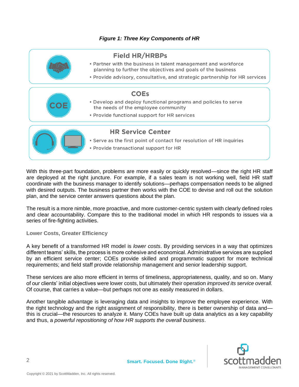# *Figure 1: Three Key Components of HR*



With this three-part foundation, problems are more easily or quickly resolved—since the right HR staff are deployed at the right juncture. For example, if a sales team is not working well, field HR staff coordinate with the business manager to identify solutions—perhaps compensation needs to be aligned with desired outputs. The business partner then works with the COE to devise and roll out the solution plan, and the service center answers questions about the plan.

The result is a more nimble, more proactive, and more customer-centric system with clearly defined roles and clear accountability. Compare this to the traditional model in which HR responds to issues via a series of fire-fighting activities.

**Lower Costs, Greater Efficiency**

A key benefit of a transformed HR model is *lower costs*. By providing services in a way that optimizes different teams' skills, the process is more cohesive and economical. Administrative services are supplied by an efficient service center; COEs provide skilled and programmatic support for more technical requirements; and field staff provide relationship management and senior leadership support.

These services are also more efficient in terms of timeliness, appropriateness, quality, and so on. Many of our clients' initial objectives were lower costs, but ultimately their operation *improved its service overall.* Of course, that carries a value—but perhaps not one as easily measured in dollars.

Another tangible advantage is leveraging data and insights to improve the employee experience. With the right technology and the right assignment of responsibility, there is better ownership of data and this is crucial—the resources to analyze it. Many COEs have built up data analytics as a key capability and thus, a *powerful repositioning of how HR supports the overall business*.

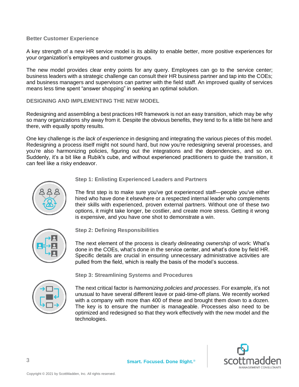#### **Better Customer Experience**

A key strength of a new HR service model is its ability to enable better, more positive experiences for your organization's employees and customer groups.

The new model provides clear entry points for any query. Employees can go to the service center; business leaders with a strategic challenge can consult their HR business partner and tap into the COEs; and business managers and supervisors can partner with the field staff. An improved quality of services means less time spent "answer shopping" in seeking an optimal solution.

**DESIGNING AND IMPLEMENTING THE NEW MODEL**

Redesigning and assembling a best practices HR framework is not an easy transition, which may be why so many organizations shy away from it. Despite the obvious benefits, they tend to fix a little bit here and there, with equally spotty results.

One key challenge is *the lack of experience* in designing and integrating the various pieces of this model. Redesigning a process itself might not sound hard, but now you're redesigning several processes, and you're also harmonizing policies, figuring out the integrations and the dependencies, and so on. Suddenly, it's a bit like a Rubik's cube, and without experienced practitioners to quide the transition, it can feel like a risky endeavor.



## **Step 1: Enlisting Experienced Leaders and Partners**

The first step is to make sure you've got experienced staff—people you've either hired who have done it elsewhere or a respected internal leader who complements their skills with experienced, proven external partners. Without one of these two options, it might take longer, be costlier, and create more stress. Getting it wrong is expensive, and you have one shot to demonstrate a win.



**Step 2: Defining Responsibilities**

The next element of the process is clearly *delineating ownership* of work: What's done in the COEs, what's done in the service center, and what's done by field HR. Specific details are crucial in ensuring unnecessary administrative activities are pulled from the field, which is really the basis of the model's success.



**Step 3: Streamlining Systems and Procedures**

The next critical factor is *harmonizing policies and processes*. For example, it's not unusual to have several different leave or paid-time-off plans. We recently worked with a company with more than 400 of these and brought them down to a dozen. The key is to ensure the number is manageable. Processes also need to be optimized and redesigned so that they work effectively with the new model and the technologies.

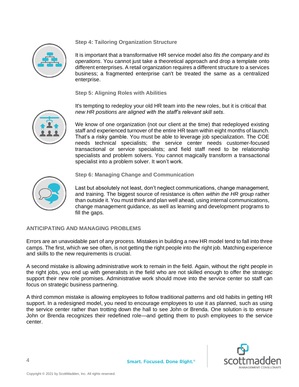# **Step 4: Tailoring Organization Structure**



It is important that a transformative HR service model also *fits the company and its operations*. You cannot just take a theoretical approach and drop a template onto different enterprises. A retail organization requires a different structure to a services business; a fragmented enterprise can't be treated the same as a centralized enterprise.

**Step 5: Aligning Roles with Abilities**

It's tempting to redeploy your old HR team into the new roles, but it is critical that *new HR positions are aligned with the staff's relevant skill sets*.



We know of one organization (not our client at the time) that redeployed existing staff and experienced turnover of the entire HR team within eight months of launch. That's a risky gamble. You must be able to leverage job specialization. The COE needs technical specialists; the service center needs customer-focused transactional or service specialists; and field staff need to be relationship specialists and problem solvers. You cannot magically transform a transactional specialist into a problem solver. It won't work.



**Step 6: Managing Change and Communication**

Last but absolutely not least, don't neglect communications, change management, and training. The biggest source of resistance is often *within the HR group* rather than outside it. You must think and plan well ahead, using internal communications, change management guidance, as well as learning and development programs to fill the gaps.

## **ANTICIPATING AND MANAGING PROBLEMS**

Errors are an unavoidable part of any process. Mistakes in building a new HR model tend to fall into three camps. The first, which we see often, is not getting the right people into the right job. Matching experience and skills to the new requirements is crucial.

A second mistake is allowing administrative work to remain in the field. Again, without the right people in the right jobs, you end up with generalists in the field who are not skilled enough to offer the strategic support their new role promises. Administrative work should move into the service center so staff can focus on strategic business partnering.

A third common mistake is allowing employees to follow traditional patterns and old habits in getting HR support. In a redesigned model, you need to encourage employees to use it as planned, such as using the service center rather than trotting down the hall to see John or Brenda. One solution is to ensure John or Brenda recognizes their redefined role—and getting them to push employees to the service center.

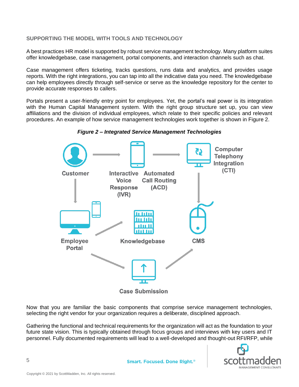# **SUPPORTING THE MODEL WITH TOOLS AND TECHNOLOGY**

A best practices HR model is supported by robust service management technology. Many platform suites offer knowledgebase, case management, portal components, and interaction channels such as chat.

Case management offers ticketing, tracks questions, runs data and analytics, and provides usage reports. With the right integrations, you can tap into all the indicative data you need. The knowledgebase can help employees directly through self-service or serve as the knowledge repository for the center to provide accurate responses to callers.

Portals present a user-friendly entry point for employees. Yet, the portal's real power is its integration with the Human Capital Management system. With the right group structure set up, you can view affiliations and the division of individual employees, which relate to their specific policies and relevant procedures. An example of how service management technologies work together is shown in Figure 2.



*Figure 2 – Integrated Service Management Technologies*

Now that you are familiar the basic components that comprise service management technologies, selecting the right vendor for your organization requires a deliberate, disciplined approach.

Gathering the functional and technical requirements for the organization will act as the foundation to your future state vision. This is typically obtained through focus groups and interviews with key users and IT personnel. Fully documented requirements will lead to a well-developed and thought-out RFI/RFP, while

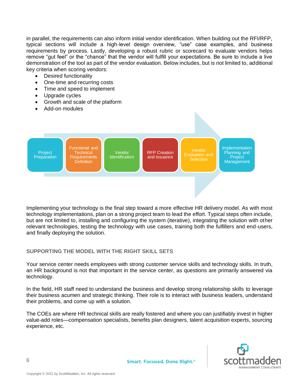in parallel, the requirements can also inform initial vendor identification. When building out the RFI/RFP, typical sections will include a high-level design overview, "use" case examples, and business requirements by process. Lastly, developing a robust rubric or scorecard to evaluate vendors helps remove "gut feel" or the "chance" that the vendor will fulfill your expectations. Be sure to include a live demonstration of the tool as part of the vendor evaluation. Below includes, but is not limited to, additional key criteria when scoring vendors:

- Desired functionality
- One-time and recurring costs
- Time and speed to implement
- Upgrade cycles
- Growth and scale of the platform
- Add-on modules



Implementing your technology is the final step toward a more effective HR delivery model. As with most technology implementations, plan on a strong project team to lead the effort. Typical steps often include, but are not limited to, installing and configuring the system (iterative), integrating the solution with other relevant technologies, testing the technology with use cases, training both the fulfillers and end-users, and finally deploying the solution.

## **SUPPORTING THE MODEL WITH THE RIGHT SKILL SETS**

Your service center needs employees with strong customer service skills and technology skills. In truth, an HR background is not that important in the service center, as questions are primarily answered via technology.

In the field, HR staff need to understand the business and develop strong relationship skills to leverage their business acumen and strategic thinking. Their role is to interact with business leaders, understand their problems, and come up with a solution.

The COEs are where HR technical skills are really fostered and where you can justifiably invest in higher value-add roles—compensation specialists, benefits plan designers, talent acquisition experts, sourcing experience, etc.